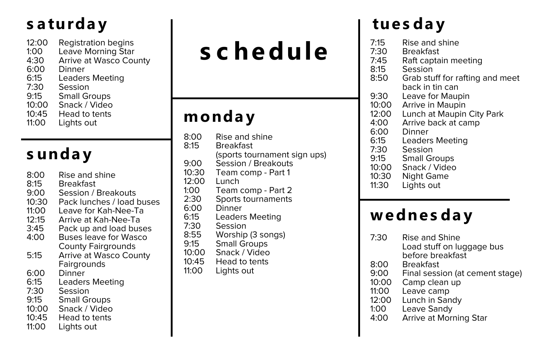#### s a turday tues day

- 12:00 Registration begins<br>1:00 Leave Morning Star
- Leave Morning Star
- 4:30 Arrive at Wasco County<br>6:00 Dinner
- 6:00 Dinner
- Leaders Meeting
- 7:30 Session<br>9:15 Small Gr
- 9:15 Small Groups<br>10:00 Snack / Video
- Snack / Video
- 10:45 Head to tents<br>11:00 Lights out
- Lights out

### **s unda y**

- 8:00 Rise and shine
- 8:15 Breakfast<br>9:00 Session / I
- 9:00 Session / Breakouts<br>10:30 Pack lunches / load
- Pack lunches / load buses
- 11:00 Leave for Kah-Nee-Ta
- 12:15 Arrive at Kah-Nee-Ta<br>3:45 Pack up and load bus
- Pack up and load buses
- 4:00 Buses leave for Wasco County Fairgrounds
- 5:15 Arrive at Wasco County **Fairgrounds**
- 6:00 Dinner
- Leaders Meeting
- 7:30 Session<br>9:15 Small Gr
- 9:15 Small Groups<br>10:00 Snack / Video
- Snack / Video
- 10:45 Head to tents
- 11:00 Lights out

# **s c he dule**

#### **monda y**

8:00 Rise and shine<br>8:15 Breakfast **Breakfast** (sports tournament sign ups) 9:00 Session / Breakouts<br>10:30 Team comp - Part 1 Team comp - Part 1 12:00 Lunch<br>1:00 Team 1:00 Team comp - Part 2<br>2:30 Sports tournaments Sports tournaments 6:00 Dinner<br>6:15 Leader 6:15 Leaders Meeting<br>7:30 Session Session 8:55 Worship (3 songs) Small Groups 10:00 Snack / Video 10:45 Head to tents<br>11:00 Lights out Lights out

- 7:15 Rise and shine<br>7:30 Breakfast
	- **Breakfast**
- 7:45 Raft captain meeting<br>8:15 Session
- 8:15 Session<br>8:50 Grab stu
- Grab stuff for rafting and meet back in tin can
- 9:30 Leave for Maupin<br>10:00 Arrive in Maupin
- Arrive in Maupin
- 12:00 Lunch at Maupin City Park<br>4:00 Arrive back at camp
- 4:00 Arrive back at camp<br>6:00 Dinner
	- **Dinner**
- 6:15 Leaders Meeting<br>7:30 Session
- 7:30 Session<br>9:15 Small Gr
- Small Groups
- 10:00 Snack / Video
- 10:30 Night Game
- Lights out

#### **we dne s da y**

- 7:30 Rise and Shine Load stuff on luggage bus before breakfast
- 8:00 Breakfast
- Final session (at cement stage)
- 10:00 Camp clean up
- 11:00 Leave camp
- Lunch in Sandy
- 1:00 Leave Sandy
- Arrive at Morning Star